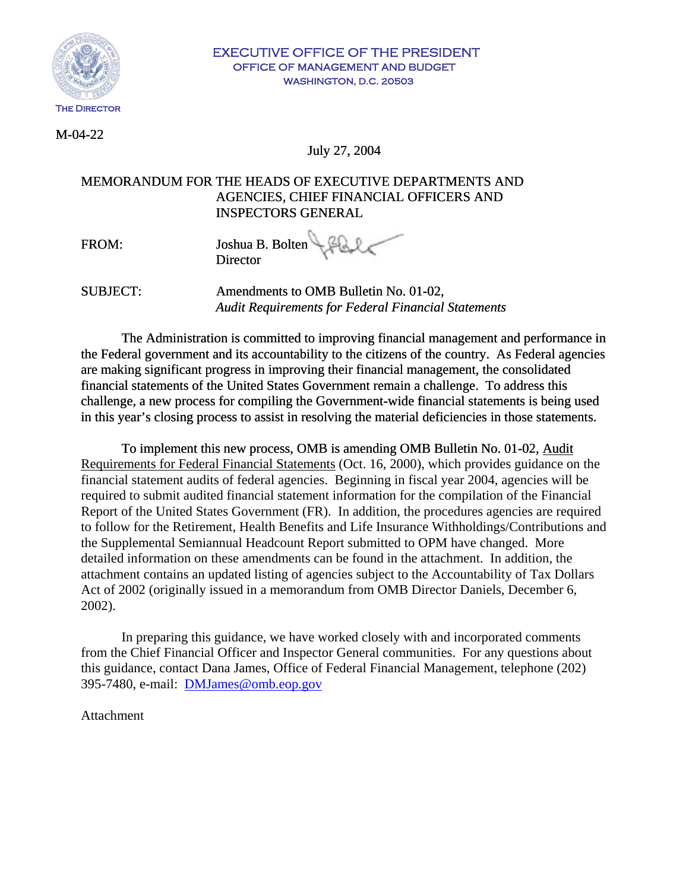

### EXECUTIVE OFFICE OF THE PRESIDENT OFFICE OF MANAGEMENT AND BUDGET WASHINGTON, D.C. 20503

 $M-04-22$ 

July 27, 2004

# MEMORANDUM FOR THE HEADS OF EXECUTIVE DEPARTMENTS AND AGENCIES, CHIEF FINANCIAL OFFICERS AND INSPECTORS GENERAL

FROM: Joshua B. Bolten **Director** 

SUBJECT: Amendments to OMB Bulletin No. 01-02,  *Audit Requirements for Federal Financial Statements*

The Administration is committed to improving financial management and performance in the Federal government and its accountability to the citizens of the country. As Federal agencies are making significant progress in improving their financial management, the consolidated financial statements of the United States Government remain a challenge. To address this challenge, a new process for compiling the Government-wide financial statements is being used in this year's closing process to assist in resolving the material deficiencies in those statements.

To implement this new process, OMB is amending OMB Bulletin No. 01-02, Audit Requirements for Federal Financial Statements (Oct. 16, 2000), which provides guidance on the financial statement audits of federal agencies. Beginning in fiscal year 2004, agencies will be required to submit audited financial statement information for the compilation of the Financial Report of the United States Government (FR). In addition, the procedures agencies are required to follow for the Retirement, Health Benefits and Life Insurance Withholdings/Contributions and the Supplemental Semiannual Headcount Report submitted to OPM have changed. More detailed information on these amendments can be found in the attachment. In addition, the attachment contains an updated listing of agencies subject to the Accountability of Tax Dollars Act of 2002 (originally issued in a memorandum from OMB Director Daniels, December 6, 2002).

In preparing this guidance, we have worked closely with and incorporated comments from the Chief Financial Officer and Inspector General communities. For any questions about this guidance, contact Dana James, Office of Federal Financial Management, telephone (202) 395-7480, e-mail: [DMJames@omb.eop.gov](mailto:DMJames@omb.eop.gov)

## Attachment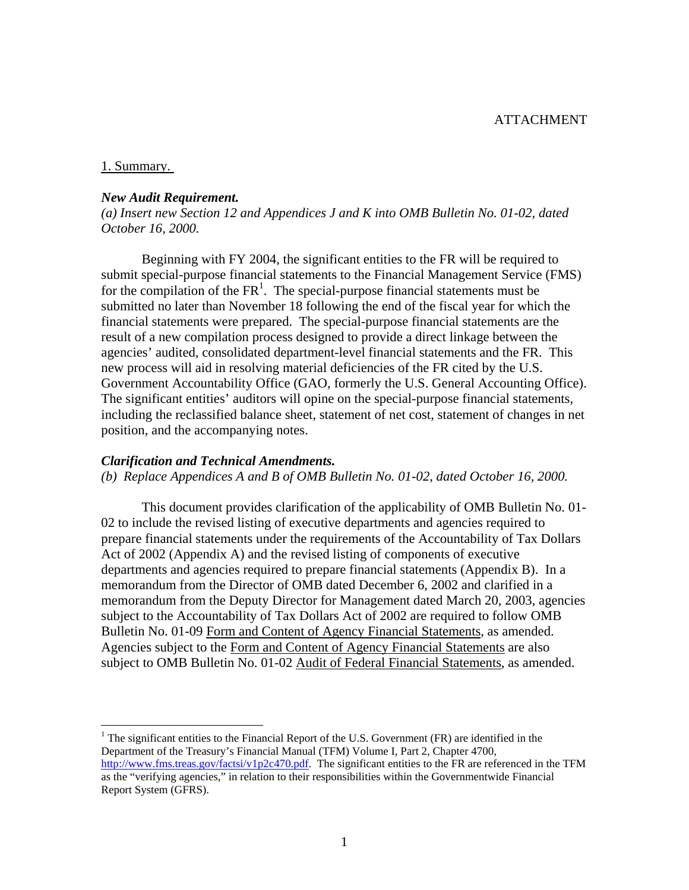### 1. Summary.

1

### *New Audit Requirement.*

*(a) Insert new Section 12 and Appendices J and K into OMB Bulletin No. 01-02, dated October 16, 2000.*

Beginning with FY 2004, the significant entities to the FR will be required to submit special-purpose financial statements to the Financial Management Service (FMS) for the compilation of the  $FR<sup>1</sup>$  $FR<sup>1</sup>$  $FR<sup>1</sup>$ . The special-purpose financial statements must be submitted no later than November 18 following the end of the fiscal year for which the financial statements were prepared. The special-purpose financial statements are the result of a new compilation process designed to provide a direct linkage between the agencies' audited, consolidated department-level financial statements and the FR. This new process will aid in resolving material deficiencies of the FR cited by the U.S. Government Accountability Office (GAO, formerly the U.S. General Accounting Office). The significant entities' auditors will opine on the special-purpose financial statements, including the reclassified balance sheet, statement of net cost, statement of changes in net position, and the accompanying notes.

### *Clarification and Technical Amendments.*

*(b) Replace Appendices A and B of OMB Bulletin No. 01-02, dated October 16, 2000.* 

This document provides clarification of the applicability of OMB Bulletin No. 01- 02 to include the revised listing of executive departments and agencies required to prepare financial statements under the requirements of the Accountability of Tax Dollars Act of 2002 (Appendix A) and the revised listing of components of executive departments and agencies required to prepare financial statements (Appendix B). In a memorandum from the Director of OMB dated December 6, 2002 and clarified in a memorandum from the Deputy Director for Management dated March 20, 2003, agencies subject to the Accountability of Tax Dollars Act of 2002 are required to follow OMB Bulletin No. 01-09 Form and Content of Agency Financial Statements, as amended. Agencies subject to the Form and Content of Agency Financial Statements are also subject to OMB Bulletin No. 01-02 Audit of Federal Financial Statements, as amended.

<span id="page-1-0"></span><sup>1</sup> The significant entities to the Financial Report of the U.S. Government (FR) are identified in the Department of the Treasury's Financial Manual (TFM) Volume I, Part 2, Chapter 4700, <http://www.fms.treas.gov/factsi/v1p2c470.pdf>. The significant entities to the FR are referenced in the TFM as the "verifying agencies," in relation to their responsibilities within the Governmentwide Financial Report System (GFRS).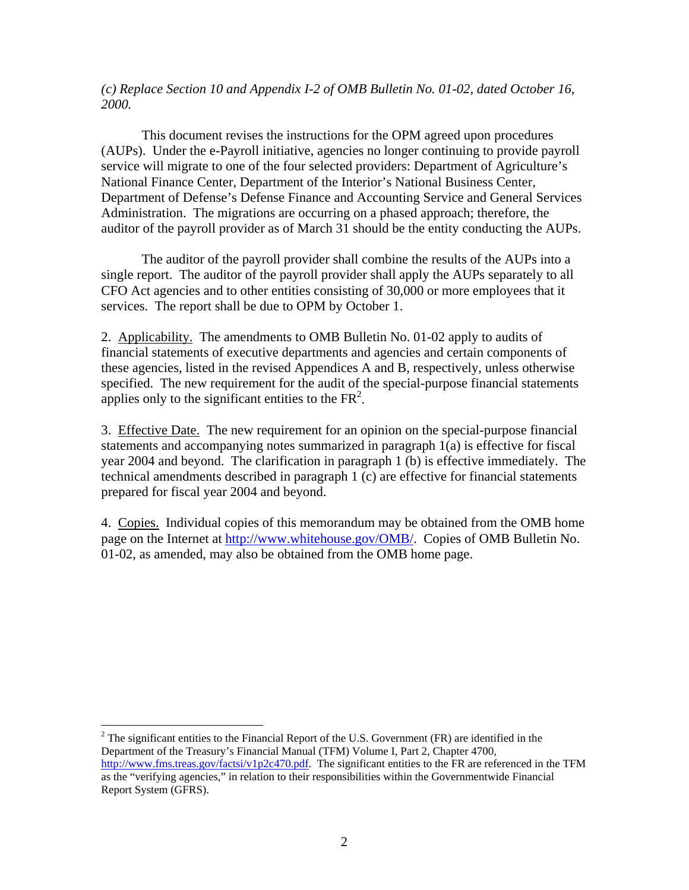*(c) Replace Section 10 and Appendix I-2 of OMB Bulletin No. 01-02, dated October 16, 2000.* 

This document revises the instructions for the OPM agreed upon procedures (AUPs). Under the e-Payroll initiative, agencies no longer continuing to provide payroll service will migrate to one of the four selected providers: Department of Agriculture's National Finance Center, Department of the Interior's National Business Center, Department of Defense's Defense Finance and Accounting Service and General Services Administration. The migrations are occurring on a phased approach; therefore, the auditor of the payroll provider as of March 31 should be the entity conducting the AUPs.

The auditor of the payroll provider shall combine the results of the AUPs into a single report. The auditor of the payroll provider shall apply the AUPs separately to all CFO Act agencies and to other entities consisting of 30,000 or more employees that it services. The report shall be due to OPM by October 1.

2. Applicability. The amendments to OMB Bulletin No. 01-02 apply to audits of financial statements of executive departments and agencies and certain components of these agencies, listed in the revised Appendices A and B, respectively, unless otherwise specified. The new requirement for the audit of the special-purpose financial statements applies only to the significant entities to the  $FR<sup>2</sup>$ .

3. Effective Date. The new requirement for an opinion on the special-purpose financial statements and accompanying notes summarized in paragraph 1(a) is effective for fiscal year 2004 and beyond. The clarification in paragraph 1 (b) is effective immediately. The technical amendments described in paragraph 1 (c) are effective for financial statements prepared for fiscal year 2004 and beyond.

4. Copies. Individual copies of this memorandum may be obtained from the OMB home page on the Internet at [http://www.whitehouse.gov/OMB/.](http://www.whitehouse.gov/OMB/) Copies of OMB Bulletin No. 01-02, as amended, may also be obtained from the OMB home page.

<span id="page-2-0"></span><sup>2</sup> The significant entities to the Financial Report of the U.S. Government (FR) are identified in the Department of the Treasury's Financial Manual (TFM) Volume I, Part 2, Chapter 4700, <http://www.fms.treas.gov/factsi/v1p2c470.pdf>. The significant entities to the FR are referenced in the TFM as the "verifying agencies," in relation to their responsibilities within the Governmentwide Financial Report System (GFRS).

 $\overline{a}$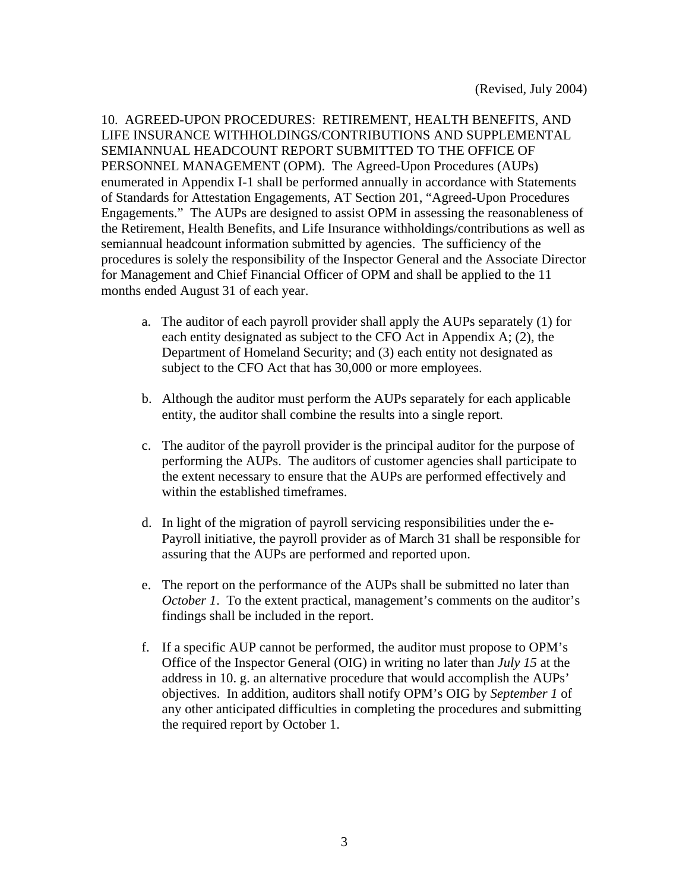10. AGREED-UPON PROCEDURES: RETIREMENT, HEALTH BENEFITS, AND LIFE INSURANCE WITHHOLDINGS/CONTRIBUTIONS AND SUPPLEMENTAL SEMIANNUAL HEADCOUNT REPORT SUBMITTED TO THE OFFICE OF PERSONNEL MANAGEMENT (OPM).The Agreed-Upon Procedures (AUPs) enumerated in Appendix I-1 shall be performed annually in accordance with Statements of Standards for Attestation Engagements, AT Section 201, "Agreed-Upon Procedures Engagements." The AUPs are designed to assist OPM in assessing the reasonableness of the Retirement, Health Benefits, and Life Insurance withholdings/contributions as well as semiannual headcount information submitted by agencies. The sufficiency of the procedures is solely the responsibility of the Inspector General and the Associate Director for Management and Chief Financial Officer of OPM and shall be applied to the 11 months ended August 31 of each year.

- a. The auditor of each payroll provider shall apply the AUPs separately (1) for each entity designated as subject to the CFO Act in Appendix A; (2), the Department of Homeland Security; and (3) each entity not designated as subject to the CFO Act that has 30,000 or more employees.
- b. Although the auditor must perform the AUPs separately for each applicable entity, the auditor shall combine the results into a single report.
- c. The auditor of the payroll provider is the principal auditor for the purpose of performing the AUPs. The auditors of customer agencies shall participate to the extent necessary to ensure that the AUPs are performed effectively and within the established timeframes.
- d. In light of the migration of payroll servicing responsibilities under the e-Payroll initiative, the payroll provider as of March 31 shall be responsible for assuring that the AUPs are performed and reported upon.
- e. The report on the performance of the AUPs shall be submitted no later than *October 1*. To the extent practical, management's comments on the auditor's findings shall be included in the report.
- f. If a specific AUP cannot be performed, the auditor must propose to OPM's Office of the Inspector General (OIG) in writing no later than *July 15* at the address in 10. g. an alternative procedure that would accomplish the AUPs' objectives. In addition, auditors shall notify OPM's OIG by *September 1* of any other anticipated difficulties in completing the procedures and submitting the required report by October 1.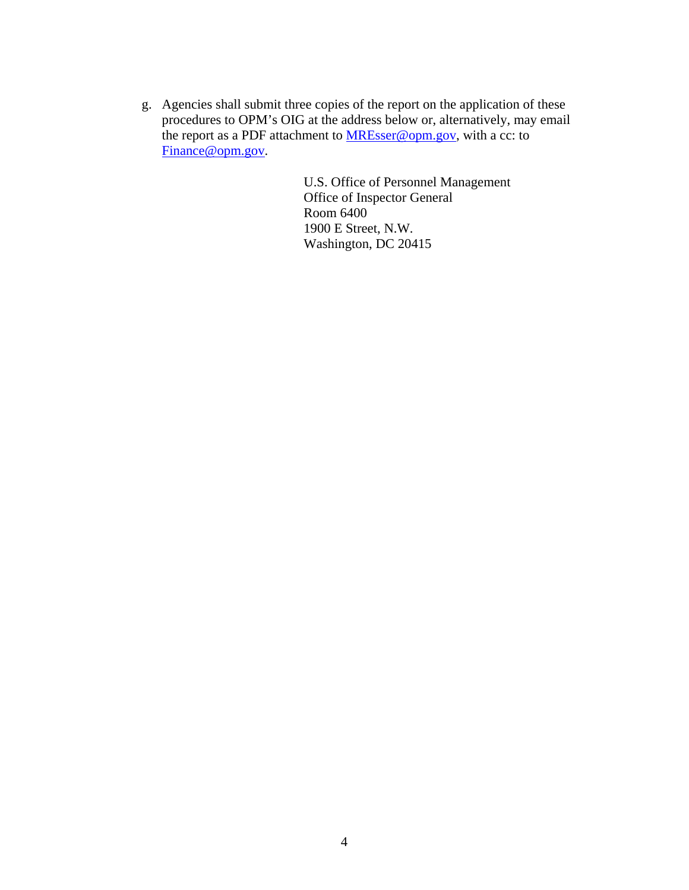g. Agencies shall submit three copies of the report on the application of these procedures to OPM's OIG at the address below or, alternatively, may email the report as a PDF attachment to [MREsser@opm.gov,](mailto:Michael.Esser@opm.gov) with a cc: to [Finance@opm.gov](mailto:Finance@opm.gov).

> U.S. Office of Personnel Management Office of Inspector General Room 6400 1900 E Street, N.W. Washington, DC 20415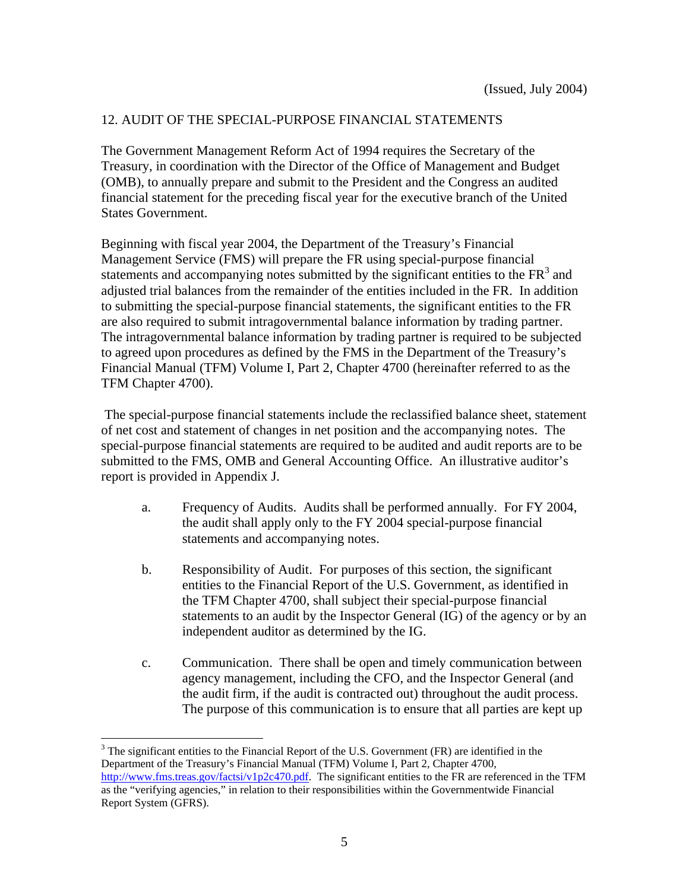# 12. AUDIT OF THE SPECIAL-PURPOSE FINANCIAL STATEMENTS

The Government Management Reform Act of 1994 requires the Secretary of the Treasury, in coordination with the Director of the Office of Management and Budget (OMB), to annually prepare and submit to the President and the Congress an audited financial statement for the preceding fiscal year for the executive branch of the United States Government.

Beginning with fiscal year 2004, the Department of the Treasury's Financial Management Service (FMS) will prepare the FR using special-purpose financial statements and accompanying notes submitted by the significant entities to the  $FR<sup>3</sup>$  $FR<sup>3</sup>$  $FR<sup>3</sup>$  and adjusted trial balances from the remainder of the entities included in the FR. In addition to submitting the special-purpose financial statements, the significant entities to the FR are also required to submit intragovernmental balance information by trading partner. The intragovernmental balance information by trading partner is required to be subjected to agreed upon procedures as defined by the FMS in the Department of the Treasury's Financial Manual (TFM) Volume I, Part 2, Chapter 4700 (hereinafter referred to as the TFM Chapter 4700).

 The special-purpose financial statements include the reclassified balance sheet, statement of net cost and statement of changes in net position and the accompanying notes. The special-purpose financial statements are required to be audited and audit reports are to be submitted to the FMS, OMB and General Accounting Office. An illustrative auditor's report is provided in Appendix J.

- a. Frequency of Audits. Audits shall be performed annually. For FY 2004, the audit shall apply only to the FY 2004 special-purpose financial statements and accompanying notes.
- b. Responsibility of Audit. For purposes of this section, the significant entities to the Financial Report of the U.S. Government, as identified in the TFM Chapter 4700, shall subject their special-purpose financial statements to an audit by the Inspector General (IG) of the agency or by an independent auditor as determined by the IG.
- c. Communication. There shall be open and timely communication between agency management, including the CFO, and the Inspector General (and the audit firm, if the audit is contracted out) throughout the audit process. The purpose of this communication is to ensure that all parties are kept up

1

<span id="page-5-0"></span> $3$  The significant entities to the Financial Report of the U.S. Government (FR) are identified in the Department of the Treasury's Financial Manual (TFM) Volume I, Part 2, Chapter 4700, <http://www.fms.treas.gov/factsi/v1p2c470.pdf>. The significant entities to the FR are referenced in the TFM as the "verifying agencies," in relation to their responsibilities within the Governmentwide Financial Report System (GFRS).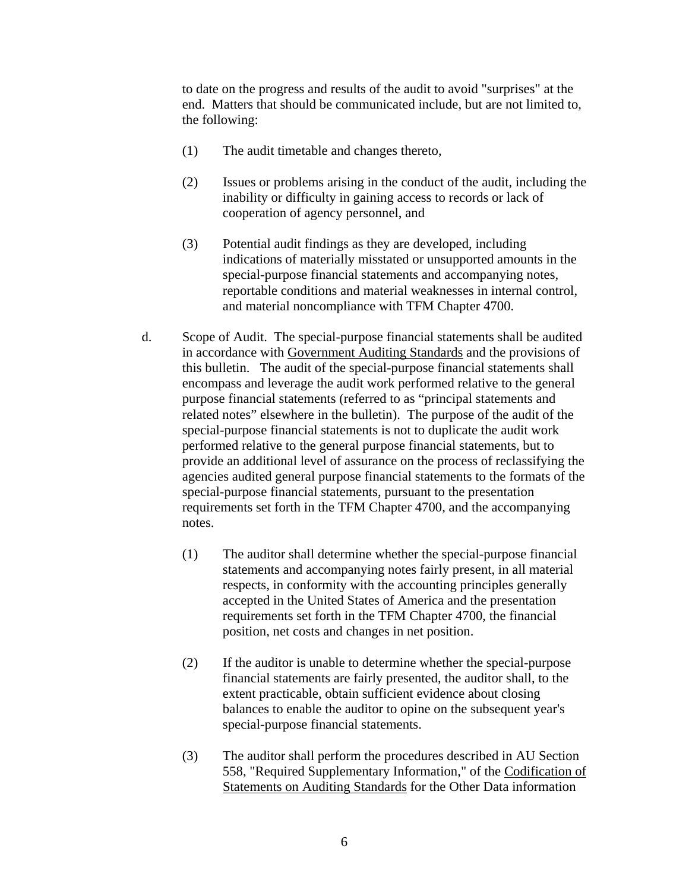to date on the progress and results of the audit to avoid "surprises" at the end. Matters that should be communicated include, but are not limited to, the following:

- (1) The audit timetable and changes thereto,
- (2) Issues or problems arising in the conduct of the audit, including the inability or difficulty in gaining access to records or lack of cooperation of agency personnel, and
- (3) Potential audit findings as they are developed, including indications of materially misstated or unsupported amounts in the special-purpose financial statements and accompanying notes, reportable conditions and material weaknesses in internal control, and material noncompliance with TFM Chapter 4700.
- d. Scope of Audit. The special-purpose financial statements shall be audited in accordance with Government Auditing Standards and the provisions of this bulletin. The audit of the special-purpose financial statements shall encompass and leverage the audit work performed relative to the general purpose financial statements (referred to as "principal statements and related notes" elsewhere in the bulletin). The purpose of the audit of the special-purpose financial statements is not to duplicate the audit work performed relative to the general purpose financial statements, but to provide an additional level of assurance on the process of reclassifying the agencies audited general purpose financial statements to the formats of the special-purpose financial statements, pursuant to the presentation requirements set forth in the TFM Chapter 4700, and the accompanying notes.
	- (1) The auditor shall determine whether the special-purpose financial statements and accompanying notes fairly present, in all material respects, in conformity with the accounting principles generally accepted in the United States of America and the presentation requirements set forth in the TFM Chapter 4700, the financial position, net costs and changes in net position.
	- (2) If the auditor is unable to determine whether the special-purpose financial statements are fairly presented, the auditor shall, to the extent practicable, obtain sufficient evidence about closing balances to enable the auditor to opine on the subsequent year's special-purpose financial statements.
	- (3) The auditor shall perform the procedures described in AU Section 558, "Required Supplementary Information," of the Codification of Statements on Auditing Standards for the Other Data information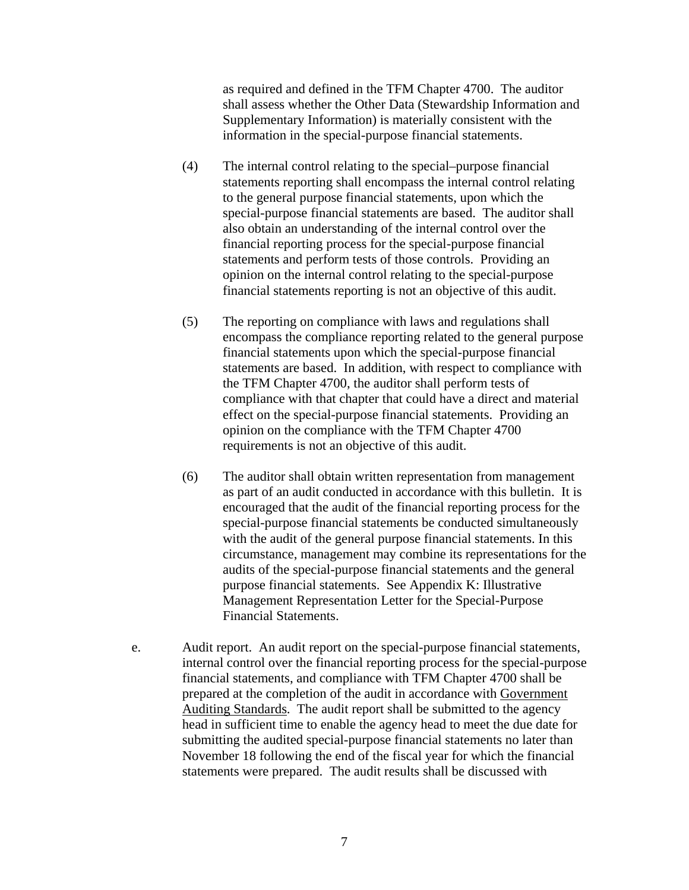as required and defined in the TFM Chapter 4700. The auditor shall assess whether the Other Data (Stewardship Information and Supplementary Information) is materially consistent with the information in the special-purpose financial statements.

- (4) The internal control relating to the special–purpose financial statements reporting shall encompass the internal control relating to the general purpose financial statements, upon which the special-purpose financial statements are based. The auditor shall also obtain an understanding of the internal control over the financial reporting process for the special-purpose financial statements and perform tests of those controls. Providing an opinion on the internal control relating to the special-purpose financial statements reporting is not an objective of this audit.
- (5) The reporting on compliance with laws and regulations shall encompass the compliance reporting related to the general purpose financial statements upon which the special-purpose financial statements are based. In addition, with respect to compliance with the TFM Chapter 4700, the auditor shall perform tests of compliance with that chapter that could have a direct and material effect on the special-purpose financial statements. Providing an opinion on the compliance with the TFM Chapter 4700 requirements is not an objective of this audit.
- (6) The auditor shall obtain written representation from management as part of an audit conducted in accordance with this bulletin. It is encouraged that the audit of the financial reporting process for the special-purpose financial statements be conducted simultaneously with the audit of the general purpose financial statements. In this circumstance, management may combine its representations for the audits of the special-purpose financial statements and the general purpose financial statements. See Appendix K: Illustrative Management Representation Letter for the Special-Purpose Financial Statements.
- e. Audit report. An audit report on the special-purpose financial statements, internal control over the financial reporting process for the special-purpose financial statements, and compliance with TFM Chapter 4700 shall be prepared at the completion of the audit in accordance with Government Auditing Standards. The audit report shall be submitted to the agency head in sufficient time to enable the agency head to meet the due date for submitting the audited special-purpose financial statements no later than November 18 following the end of the fiscal year for which the financial statements were prepared. The audit results shall be discussed with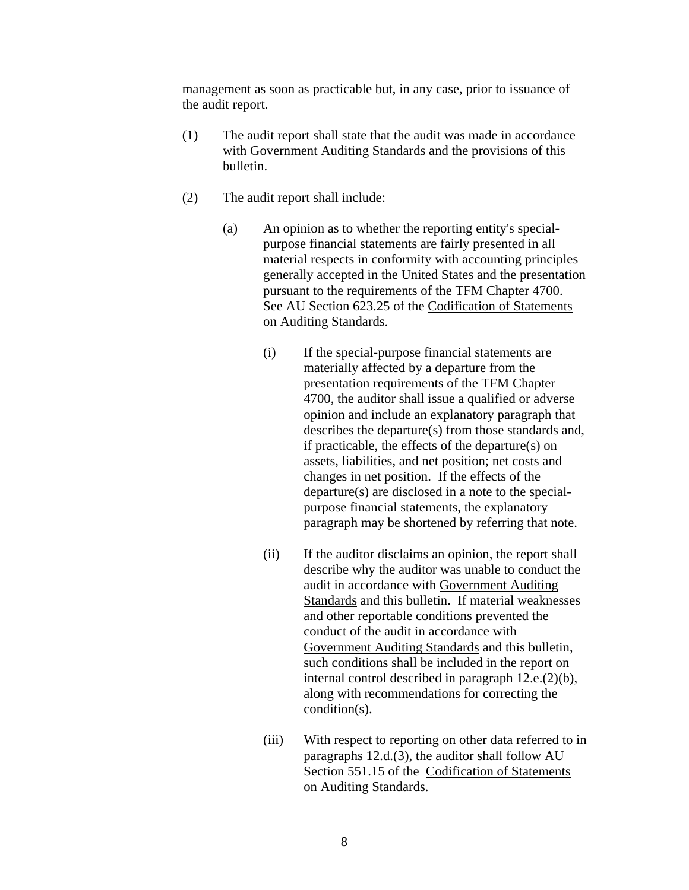management as soon as practicable but, in any case, prior to issuance of the audit report.

- (1) The audit report shall state that the audit was made in accordance with Government Auditing Standards and the provisions of this bulletin.
- (2) The audit report shall include:
	- (a) An opinion as to whether the reporting entity's specialpurpose financial statements are fairly presented in all material respects in conformity with accounting principles generally accepted in the United States and the presentation pursuant to the requirements of the TFM Chapter 4700. See AU Section 623.25 of the Codification of Statements on Auditing Standards.
		- (i) If the special-purpose financial statements are materially affected by a departure from the presentation requirements of the TFM Chapter 4700, the auditor shall issue a qualified or adverse opinion and include an explanatory paragraph that describes the departure(s) from those standards and, if practicable, the effects of the departure(s) on assets, liabilities, and net position; net costs and changes in net position. If the effects of the departure(s) are disclosed in a note to the specialpurpose financial statements, the explanatory paragraph may be shortened by referring that note.
		- (ii) If the auditor disclaims an opinion, the report shall describe why the auditor was unable to conduct the audit in accordance with Government Auditing Standards and this bulletin. If material weaknesses and other reportable conditions prevented the conduct of the audit in accordance with Government Auditing Standards and this bulletin, such conditions shall be included in the report on internal control described in paragraph 12.e.(2)(b), along with recommendations for correcting the condition(s).
		- (iii) With respect to reporting on other data referred to in paragraphs 12.d.(3), the auditor shall follow AU Section 551.15 of the Codification of Statements on Auditing Standards.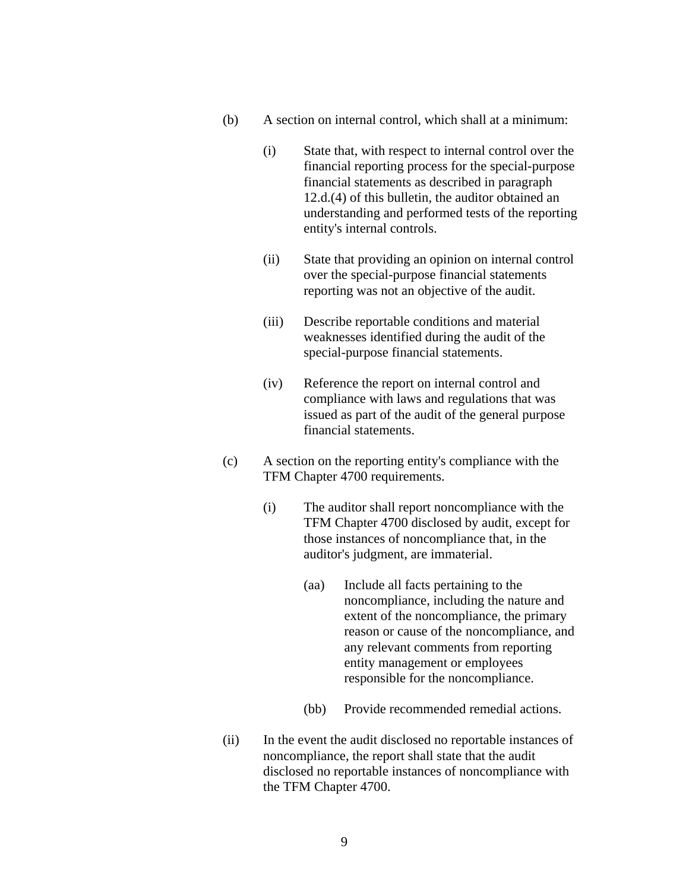- (b) A section on internal control, which shall at a minimum:
	- (i) State that, with respect to internal control over the financial reporting process for the special-purpose financial statements as described in paragraph 12.d.(4) of this bulletin, the auditor obtained an understanding and performed tests of the reporting entity's internal controls.
	- (ii) State that providing an opinion on internal control over the special-purpose financial statements reporting was not an objective of the audit.
	- (iii) Describe reportable conditions and material weaknesses identified during the audit of the special-purpose financial statements.
	- (iv) Reference the report on internal control and compliance with laws and regulations that was issued as part of the audit of the general purpose financial statements.
- (c) A section on the reporting entity's compliance with the TFM Chapter 4700 requirements.
	- (i) The auditor shall report noncompliance with the TFM Chapter 4700 disclosed by audit, except for those instances of noncompliance that, in the auditor's judgment, are immaterial.
		- (aa) Include all facts pertaining to the noncompliance, including the nature and extent of the noncompliance, the primary reason or cause of the noncompliance, and any relevant comments from reporting entity management or employees responsible for the noncompliance.
		- (bb) Provide recommended remedial actions.
- (ii) In the event the audit disclosed no reportable instances of noncompliance, the report shall state that the audit disclosed no reportable instances of noncompliance with the TFM Chapter 4700.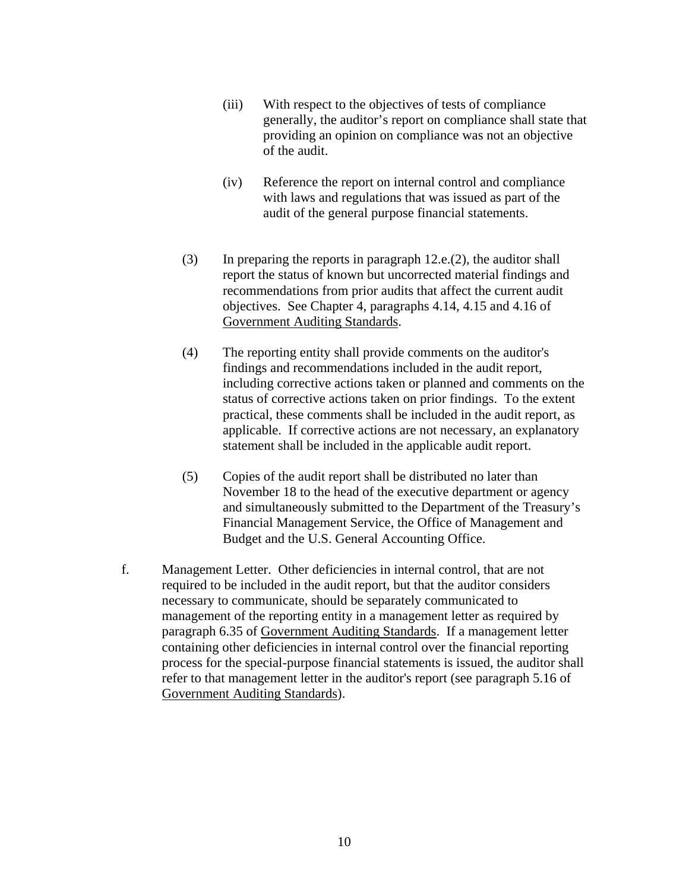- (iii) With respect to the objectives of tests of compliance generally, the auditor's report on compliance shall state that providing an opinion on compliance was not an objective of the audit.
- (iv) Reference the report on internal control and compliance with laws and regulations that was issued as part of the audit of the general purpose financial statements.
- (3) In preparing the reports in paragraph 12.e.(2), the auditor shall report the status of known but uncorrected material findings and recommendations from prior audits that affect the current audit objectives. See Chapter 4, paragraphs 4.14, 4.15 and 4.16 of Government Auditing Standards.
- (4) The reporting entity shall provide comments on the auditor's findings and recommendations included in the audit report, including corrective actions taken or planned and comments on the status of corrective actions taken on prior findings. To the extent practical, these comments shall be included in the audit report, as applicable. If corrective actions are not necessary, an explanatory statement shall be included in the applicable audit report.
- (5) Copies of the audit report shall be distributed no later than November 18 to the head of the executive department or agency and simultaneously submitted to the Department of the Treasury's Financial Management Service, the Office of Management and Budget and the U.S. General Accounting Office.
- f. Management Letter. Other deficiencies in internal control, that are not required to be included in the audit report, but that the auditor considers necessary to communicate, should be separately communicated to management of the reporting entity in a management letter as required by paragraph 6.35 of Government Auditing Standards. If a management letter containing other deficiencies in internal control over the financial reporting process for the special-purpose financial statements is issued, the auditor shall refer to that management letter in the auditor's report (see paragraph 5.16 of Government Auditing Standards).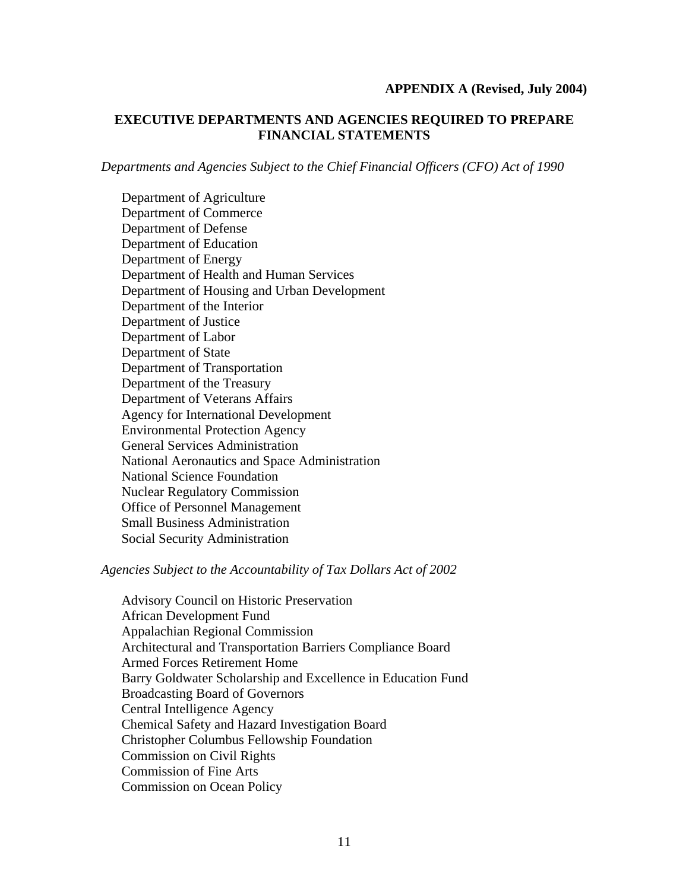### **APPENDIX A (Revised, July 2004)**

## **EXECUTIVE DEPARTMENTS AND AGENCIES REQUIRED TO PREPARE FINANCIAL STATEMENTS**

*Departments and Agencies Subject to the Chief Financial Officers (CFO) Act of 1990* 

Department of Agriculture Department of Commerce Department of Defense Department of Education Department of Energy Department of Health and Human Services Department of Housing and Urban Development Department of the Interior Department of Justice Department of Labor Department of State Department of Transportation Department of the Treasury Department of Veterans Affairs Agency for International Development Environmental Protection Agency General Services Administration National Aeronautics and Space Administration National Science Foundation Nuclear Regulatory Commission Office of Personnel Management Small Business Administration Social Security Administration

### *Agencies Subject to the Accountability of Tax Dollars Act of 2002*

Advisory Council on Historic Preservation African Development Fund Appalachian Regional Commission Architectural and Transportation Barriers Compliance Board Armed Forces Retirement Home Barry Goldwater Scholarship and Excellence in Education Fund Broadcasting Board of Governors Central Intelligence Agency Chemical Safety and Hazard Investigation Board Christopher Columbus Fellowship Foundation Commission on Civil Rights Commission of Fine Arts Commission on Ocean Policy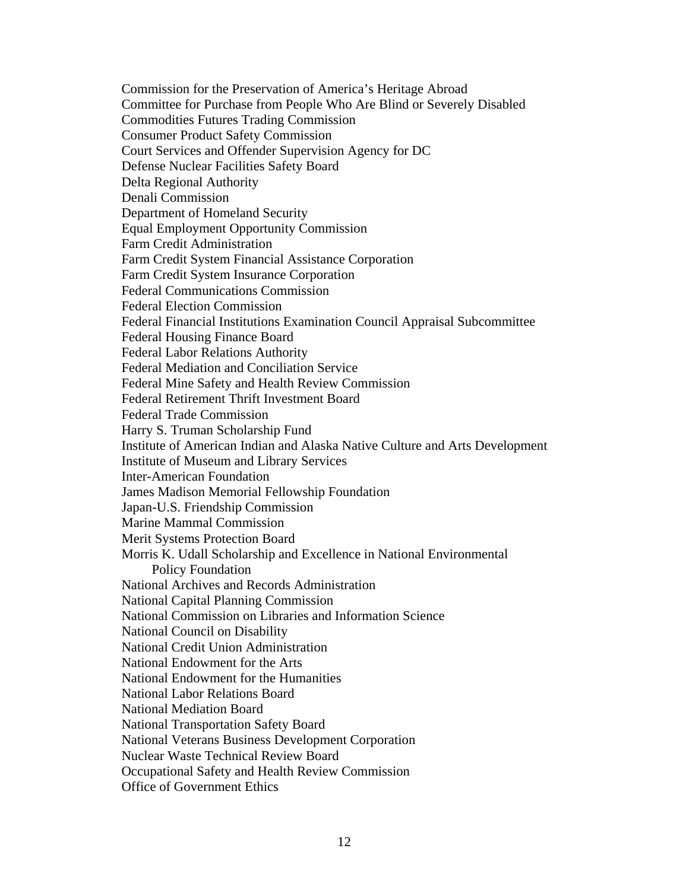Commission for the Preservation of America's Heritage Abroad Committee for Purchase from People Who Are Blind or Severely Disabled Commodities Futures Trading Commission Consumer Product Safety Commission Court Services and Offender Supervision Agency for DC Defense Nuclear Facilities Safety Board Delta Regional Authority Denali Commission Department of Homeland Security Equal Employment Opportunity Commission Farm Credit Administration Farm Credit System Financial Assistance Corporation Farm Credit System Insurance Corporation Federal Communications Commission Federal Election Commission Federal Financial Institutions Examination Council Appraisal Subcommittee Federal Housing Finance Board Federal Labor Relations Authority Federal Mediation and Conciliation Service Federal Mine Safety and Health Review Commission Federal Retirement Thrift Investment Board Federal Trade Commission Harry S. Truman Scholarship Fund Institute of American Indian and Alaska Native Culture and Arts Development Institute of Museum and Library Services Inter-American Foundation James Madison Memorial Fellowship Foundation Japan-U.S. Friendship Commission Marine Mammal Commission Merit Systems Protection Board Morris K. Udall Scholarship and Excellence in National Environmental Policy Foundation National Archives and Records Administration National Capital Planning Commission National Commission on Libraries and Information Science National Council on Disability National Credit Union Administration National Endowment for the Arts National Endowment for the Humanities National Labor Relations Board National Mediation Board National Transportation Safety Board National Veterans Business Development Corporation Nuclear Waste Technical Review Board Occupational Safety and Health Review Commission Office of Government Ethics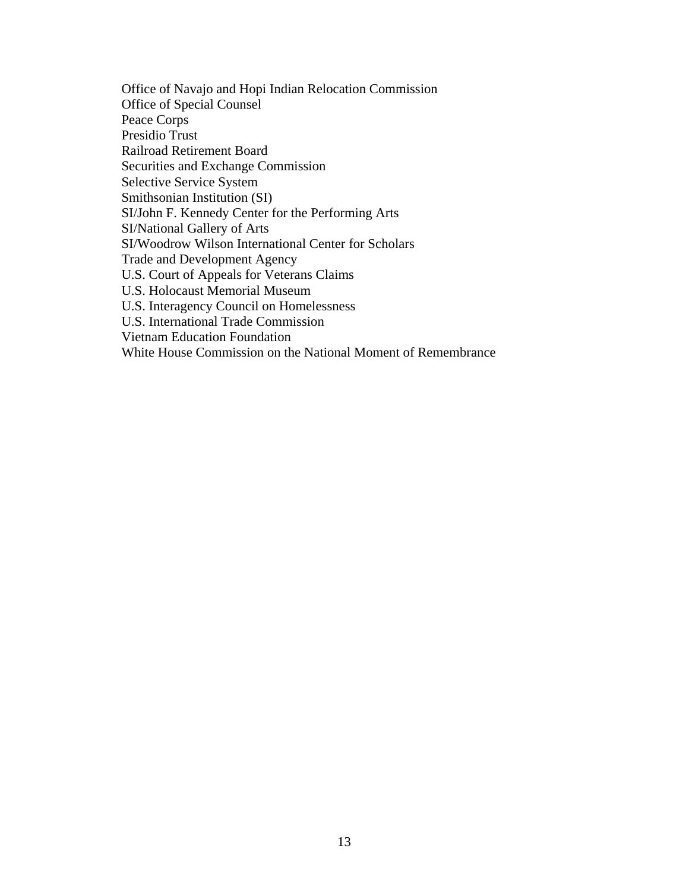Office of Navajo and Hopi Indian Relocation Commission Office of Special Counsel Peace Corps Presidio Trust Railroad Retirement Board Securities and Exchange Commission Selective Service System Smithsonian Institution (SI) SI/John F. Kennedy Center for the Performing Arts SI/National Gallery of Arts SI/Woodrow Wilson International Center for Scholars Trade and Development Agency U.S. Court of Appeals for Veterans Claims U.S. Holocaust Memorial Museum U.S. Interagency Council on Homelessness U.S. International Trade Commission Vietnam Education Foundation White House Commission on the National Moment of Remembrance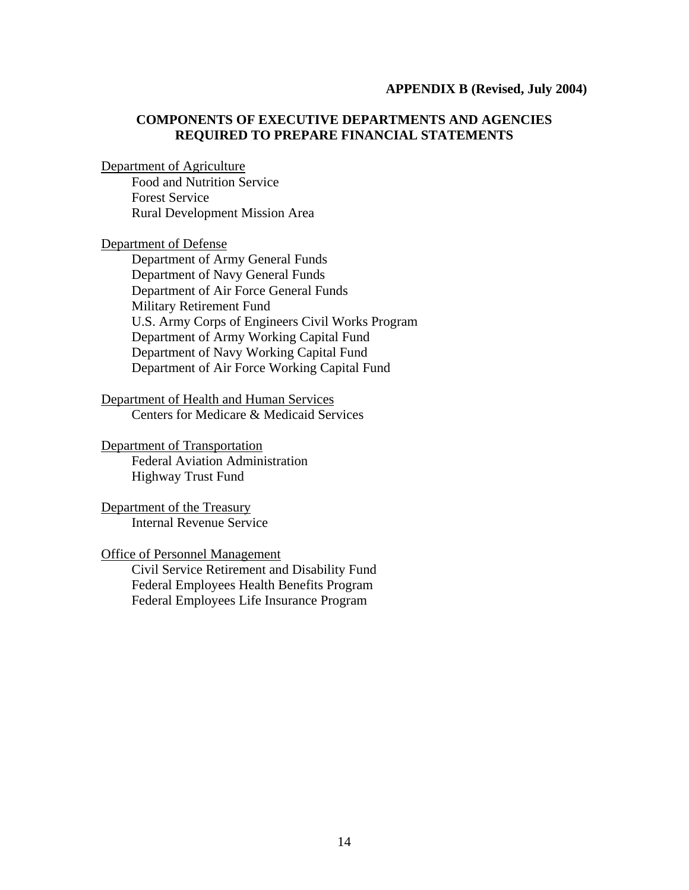### **APPENDIX B (Revised, July 2004)**

## **COMPONENTS OF EXECUTIVE DEPARTMENTS AND AGENCIES REQUIRED TO PREPARE FINANCIAL STATEMENTS**

#### Department of Agriculture

Food and Nutrition Service Forest Service Rural Development Mission Area

#### Department of Defense

Department of Army General Funds Department of Navy General Funds Department of Air Force General Funds Military Retirement Fund U.S. Army Corps of Engineers Civil Works Program Department of Army Working Capital Fund Department of Navy Working Capital Fund Department of Air Force Working Capital Fund

Department of Health and Human Services Centers for Medicare & Medicaid Services

## Department of Transportation

Federal Aviation Administration Highway Trust Fund

Department of the Treasury Internal Revenue Service

### Office of Personnel Management

Civil Service Retirement and Disability Fund Federal Employees Health Benefits Program Federal Employees Life Insurance Program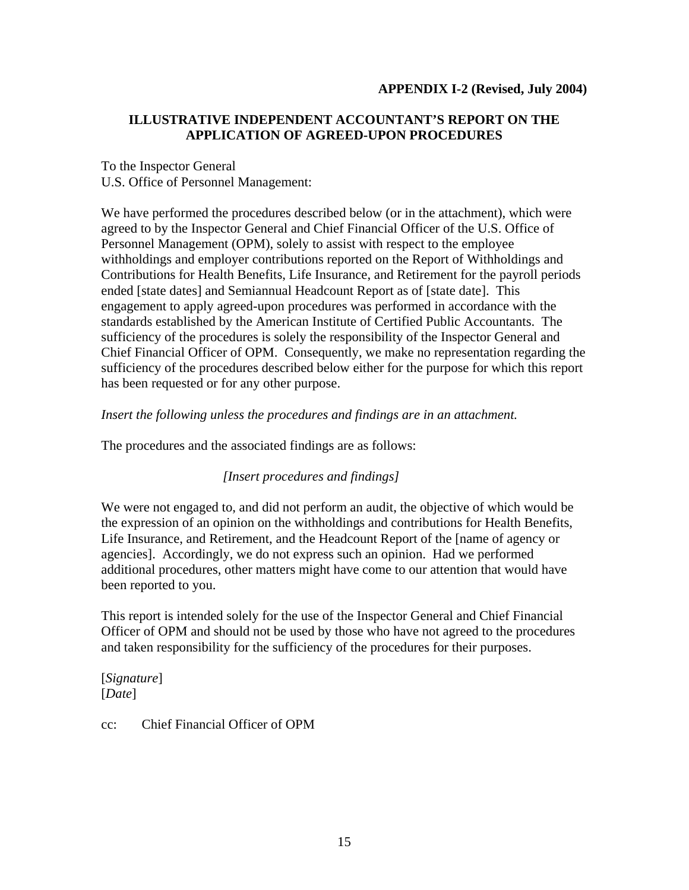## **APPENDIX I-2 (Revised, July 2004)**

# **ILLUSTRATIVE INDEPENDENT ACCOUNTANT'S REPORT ON THE APPLICATION OF AGREED-UPON PROCEDURES**

## To the Inspector General U.S. Office of Personnel Management:

We have performed the procedures described below (or in the attachment), which were agreed to by the Inspector General and Chief Financial Officer of the U.S. Office of Personnel Management (OPM), solely to assist with respect to the employee withholdings and employer contributions reported on the Report of Withholdings and Contributions for Health Benefits, Life Insurance, and Retirement for the payroll periods ended [state dates] and Semiannual Headcount Report as of [state date]. This engagement to apply agreed-upon procedures was performed in accordance with the standards established by the American Institute of Certified Public Accountants. The sufficiency of the procedures is solely the responsibility of the Inspector General and Chief Financial Officer of OPM. Consequently, we make no representation regarding the sufficiency of the procedures described below either for the purpose for which this report has been requested or for any other purpose.

## *Insert the following unless the procedures and findings are in an attachment.*

The procedures and the associated findings are as follows:

# *[Insert procedures and findings]*

We were not engaged to, and did not perform an audit, the objective of which would be the expression of an opinion on the withholdings and contributions for Health Benefits, Life Insurance, and Retirement, and the Headcount Report of the [name of agency or agencies]. Accordingly, we do not express such an opinion. Had we performed additional procedures, other matters might have come to our attention that would have been reported to you.

This report is intended solely for the use of the Inspector General and Chief Financial Officer of OPM and should not be used by those who have not agreed to the procedures and taken responsibility for the sufficiency of the procedures for their purposes.

[*Signature*] [*Date*]

cc: Chief Financial Officer of OPM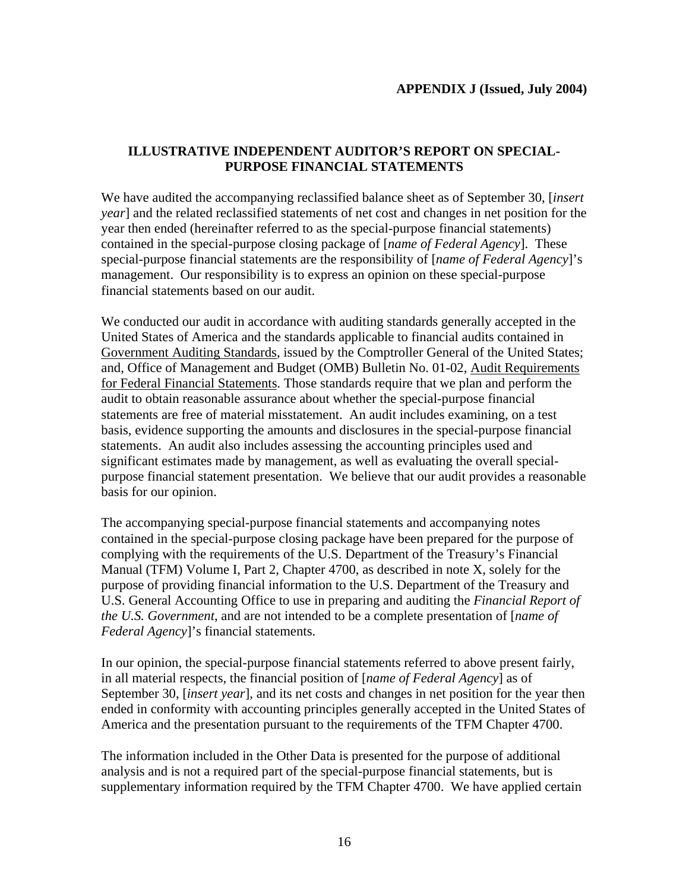# **ILLUSTRATIVE INDEPENDENT AUDITOR'S REPORT ON SPECIAL-PURPOSE FINANCIAL STATEMENTS**

We have audited the accompanying reclassified balance sheet as of September 30, [*insert year*] and the related reclassified statements of net cost and changes in net position for the year then ended (hereinafter referred to as the special-purpose financial statements) contained in the special-purpose closing package of [*name of Federal Agency*]. These special-purpose financial statements are the responsibility of [*name of Federal Agency*]'s management. Our responsibility is to express an opinion on these special-purpose financial statements based on our audit.

We conducted our audit in accordance with auditing standards generally accepted in the United States of America and the standards applicable to financial audits contained in Government Auditing Standards, issued by the Comptroller General of the United States; and, Office of Management and Budget (OMB) Bulletin No. 01-02, Audit Requirements for Federal Financial Statements. Those standards require that we plan and perform the audit to obtain reasonable assurance about whether the special-purpose financial statements are free of material misstatement. An audit includes examining, on a test basis, evidence supporting the amounts and disclosures in the special-purpose financial statements. An audit also includes assessing the accounting principles used and significant estimates made by management, as well as evaluating the overall specialpurpose financial statement presentation. We believe that our audit provides a reasonable basis for our opinion.

The accompanying special-purpose financial statements and accompanying notes contained in the special-purpose closing package have been prepared for the purpose of complying with the requirements of the U.S. Department of the Treasury's Financial Manual (TFM) Volume I, Part 2, Chapter 4700, as described in note X, solely for the purpose of providing financial information to the U.S. Department of the Treasury and U.S. General Accounting Office to use in preparing and auditing the *Financial Report of the U.S. Government*, and are not intended to be a complete presentation of [*name of Federal Agency*]'s financial statements.

In our opinion, the special-purpose financial statements referred to above present fairly, in all material respects, the financial position of [*name of Federal Agency*] as of September 30, [*insert year*], and its net costs and changes in net position for the year then ended in conformity with accounting principles generally accepted in the United States of America and the presentation pursuant to the requirements of the TFM Chapter 4700.

The information included in the Other Data is presented for the purpose of additional analysis and is not a required part of the special-purpose financial statements, but is supplementary information required by the TFM Chapter 4700. We have applied certain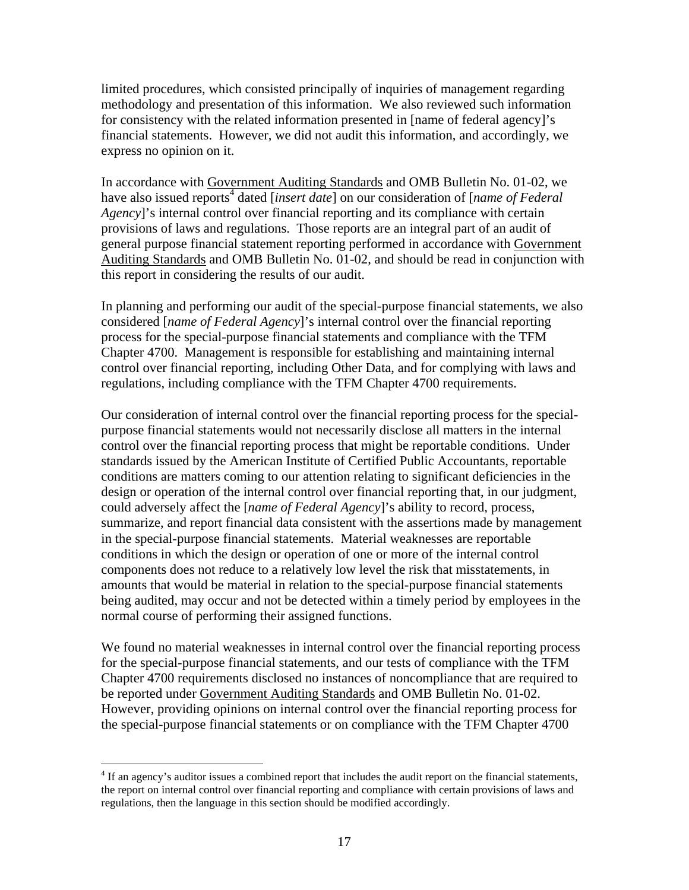limited procedures, which consisted principally of inquiries of management regarding methodology and presentation of this information. We also reviewed such information for consistency with the related information presented in [name of federal agency]'s financial statements. However, we did not audit this information, and accordingly, we express no opinion on it.

In accordance with Government Auditing Standards and OMB Bulletin No. 01-02, we have also issued reports<sup>4</sup> dated [*insert date*] on our consideration of [*name of Federal Agency*]'s internal control over financial reporting and its compliance with certain provisions of laws and regulations. Those reports are an integral part of an audit of general purpose financial statement reporting performed in accordance with Government Auditing Standards and OMB Bulletin No. 01-02, and should be read in conjunction with this report in considering the results of our audit.

In planning and performing our audit of the special-purpose financial statements, we also considered [*name of Federal Agency*]'s internal control over the financial reporting process for the special-purpose financial statements and compliance with the TFM Chapter 4700. Management is responsible for establishing and maintaining internal control over financial reporting, including Other Data, and for complying with laws and regulations, including compliance with the TFM Chapter 4700 requirements.

Our consideration of internal control over the financial reporting process for the specialpurpose financial statements would not necessarily disclose all matters in the internal control over the financial reporting process that might be reportable conditions. Under standards issued by the American Institute of Certified Public Accountants, reportable conditions are matters coming to our attention relating to significant deficiencies in the design or operation of the internal control over financial reporting that, in our judgment, could adversely affect the [*name of Federal Agency*]'s ability to record, process, summarize, and report financial data consistent with the assertions made by management in the special-purpose financial statements. Material weaknesses are reportable conditions in which the design or operation of one or more of the internal control components does not reduce to a relatively low level the risk that misstatements, in amounts that would be material in relation to the special-purpose financial statements being audited, may occur and not be detected within a timely period by employees in the normal course of performing their assigned functions.

We found no material weaknesses in internal control over the financial reporting process for the special-purpose financial statements, and our tests of compliance with the TFM Chapter 4700 requirements disclosed no instances of noncompliance that are required to be reported under Government Auditing Standards and OMB Bulletin No. 01-02. However, providing opinions on internal control over the financial reporting process for the special-purpose financial statements or on compliance with the TFM Chapter 4700

 $\overline{a}$ 

<span id="page-17-0"></span><sup>&</sup>lt;sup>4</sup> If an agency's auditor issues a combined report that includes the audit report on the financial statements, the report on internal control over financial reporting and compliance with certain provisions of laws and regulations, then the language in this section should be modified accordingly.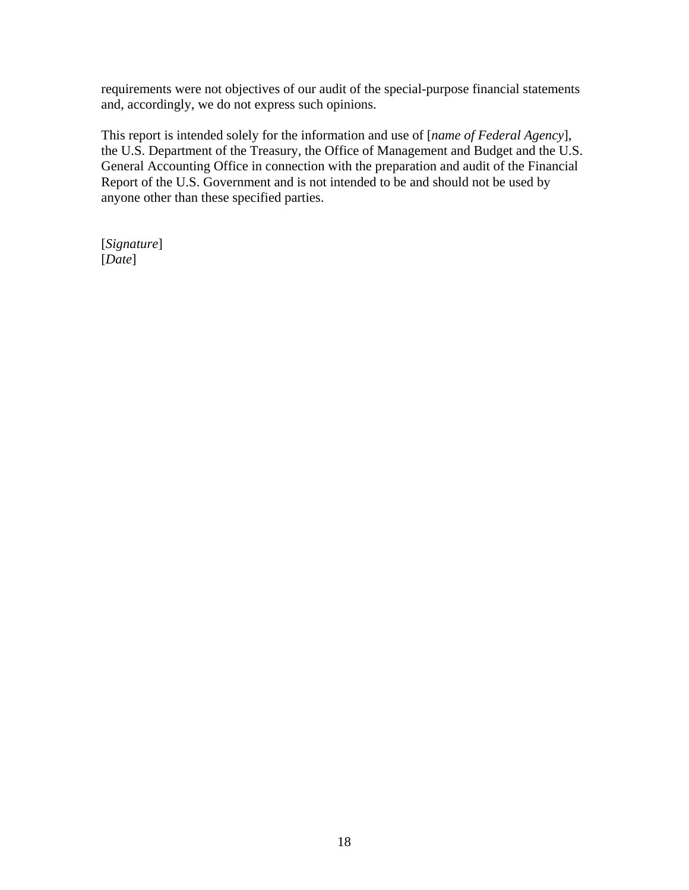requirements were not objectives of our audit of the special-purpose financial statements and, accordingly, we do not express such opinions.

This report is intended solely for the information and use of [*name of Federal Agency*], the U.S. Department of the Treasury, the Office of Management and Budget and the U.S. General Accounting Office in connection with the preparation and audit of the Financial Report of the U.S. Government and is not intended to be and should not be used by anyone other than these specified parties.

[*Signature*] [*Date*]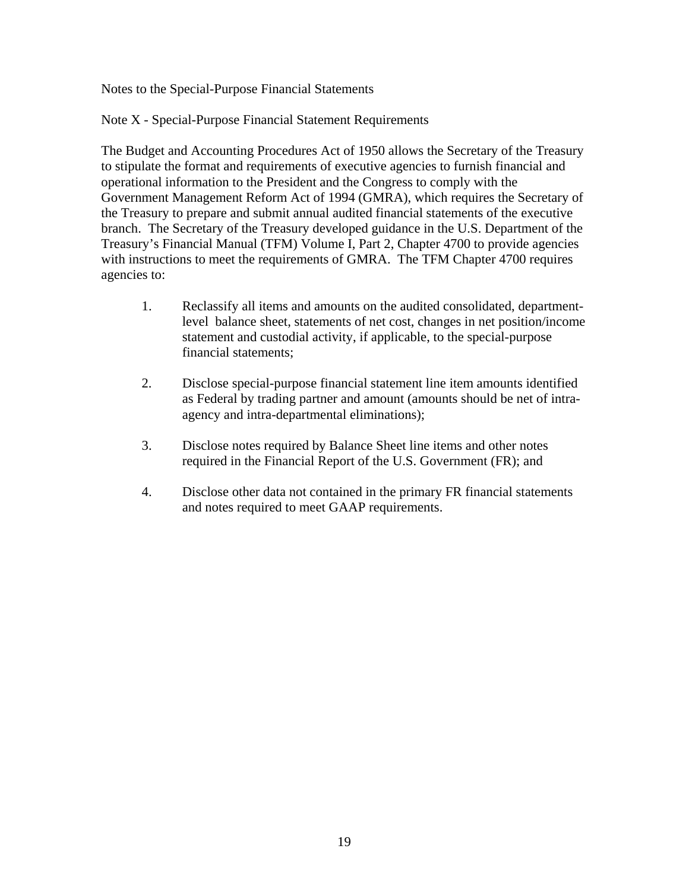Notes to the Special-Purpose Financial Statements

Note X - Special-Purpose Financial Statement Requirements

The Budget and Accounting Procedures Act of 1950 allows the Secretary of the Treasury to stipulate the format and requirements of executive agencies to furnish financial and operational information to the President and the Congress to comply with the Government Management Reform Act of 1994 (GMRA), which requires the Secretary of the Treasury to prepare and submit annual audited financial statements of the executive branch. The Secretary of the Treasury developed guidance in the U.S. Department of the Treasury's Financial Manual (TFM) Volume I, Part 2, Chapter 4700 to provide agencies with instructions to meet the requirements of GMRA. The TFM Chapter 4700 requires agencies to:

- 1. Reclassify all items and amounts on the audited consolidated, departmentlevel balance sheet, statements of net cost, changes in net position/income statement and custodial activity, if applicable, to the special-purpose financial statements;
- 2. Disclose special-purpose financial statement line item amounts identified as Federal by trading partner and amount (amounts should be net of intraagency and intra-departmental eliminations);
- 3. Disclose notes required by Balance Sheet line items and other notes required in the Financial Report of the U.S. Government (FR); and
- 4. Disclose other data not contained in the primary FR financial statements and notes required to meet GAAP requirements.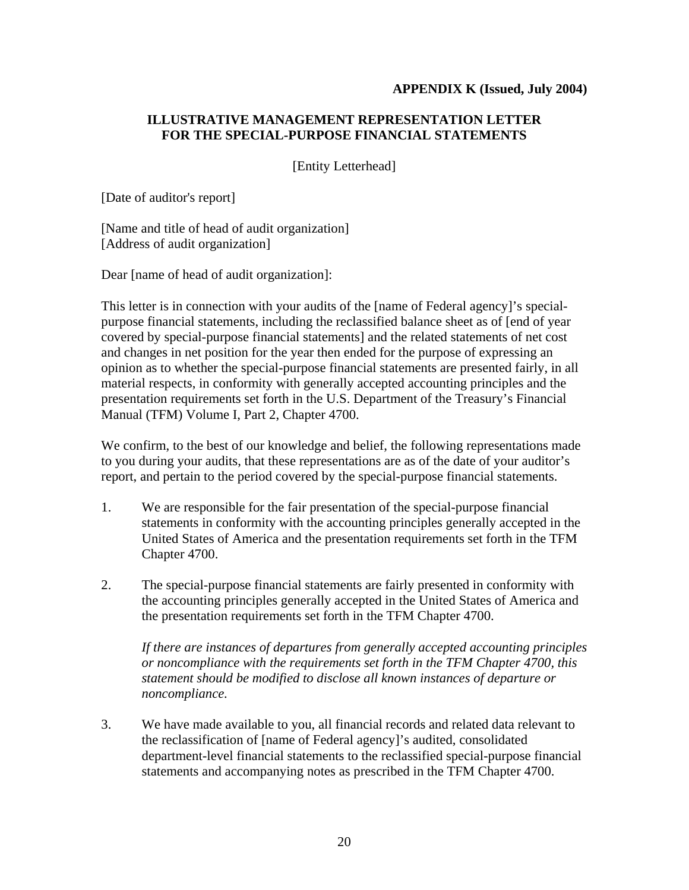## **APPENDIX K (Issued, July 2004)**

# **ILLUSTRATIVE MANAGEMENT REPRESENTATION LETTER FOR THE SPECIAL-PURPOSE FINANCIAL STATEMENTS**

[Entity Letterhead]

[Date of auditor's report]

[Name and title of head of audit organization] [Address of audit organization]

Dear [name of head of audit organization]:

This letter is in connection with your audits of the [name of Federal agency]'s specialpurpose financial statements, including the reclassified balance sheet as of [end of year covered by special-purpose financial statements] and the related statements of net cost and changes in net position for the year then ended for the purpose of expressing an opinion as to whether the special-purpose financial statements are presented fairly, in all material respects, in conformity with generally accepted accounting principles and the presentation requirements set forth in the U.S. Department of the Treasury's Financial Manual (TFM) Volume I, Part 2, Chapter 4700.

We confirm, to the best of our knowledge and belief, the following representations made to you during your audits, that these representations are as of the date of your auditor's report, and pertain to the period covered by the special-purpose financial statements.

- 1. We are responsible for the fair presentation of the special-purpose financial statements in conformity with the accounting principles generally accepted in the United States of America and the presentation requirements set forth in the TFM Chapter 4700.
- 2. The special-purpose financial statements are fairly presented in conformity with the accounting principles generally accepted in the United States of America and the presentation requirements set forth in the TFM Chapter 4700.

*If there are instances of departures from generally accepted accounting principles or noncompliance with the requirements set forth in the TFM Chapter 4700, this statement should be modified to disclose all known instances of departure or noncompliance.* 

3. We have made available to you, all financial records and related data relevant to the reclassification of [name of Federal agency]'s audited, consolidated department-level financial statements to the reclassified special-purpose financial statements and accompanying notes as prescribed in the TFM Chapter 4700.